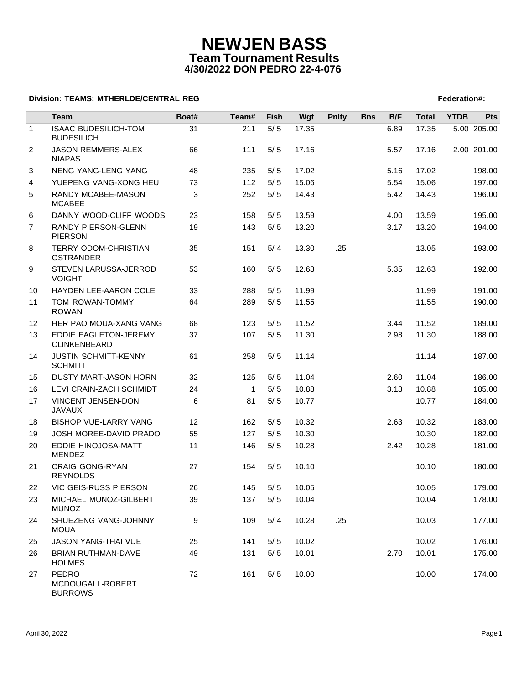# **NEWJEN BASS Team Tournament Results 4/30/2022 DON PEDRO 22-4-076**

### **Division: TEAMS: MTHERLDE/CENTRAL REG** Federation **Federation #:**  $\blacksquare$  Federation #:

|                | Team                                          | Boat# | Team#        | Fish  | Wgt   | <b>Pnlty</b> | <b>Bns</b> | B/F  | <b>Total</b> | <b>YTDB</b> | <b>Pts</b>  |
|----------------|-----------------------------------------------|-------|--------------|-------|-------|--------------|------------|------|--------------|-------------|-------------|
| $\mathbf{1}$   | <b>ISAAC BUDESILICH-TOM</b>                   | 31    | 211          | $5/5$ | 17.35 |              |            | 6.89 | 17.35        |             | 5.00 205.00 |
|                | <b>BUDESILICH</b>                             |       |              |       |       |              |            |      |              |             |             |
| $\overline{2}$ | JASON REMMERS-ALEX<br><b>NIAPAS</b>           | 66    | 111          | 5/5   | 17.16 |              |            | 5.57 | 17.16        |             | 2.00 201.00 |
| 3              | NENG YANG-LENG YANG                           | 48    | 235          | 5/5   | 17.02 |              |            | 5.16 | 17.02        |             | 198.00      |
| 4              | YUEPENG VANG-XONG HEU                         | 73    | 112          | 5/5   | 15.06 |              |            | 5.54 | 15.06        |             | 197.00      |
| 5              | <b>RANDY MCABEE-MASON</b><br><b>MCABEE</b>    | 3     | 252          | 5/5   | 14.43 |              |            | 5.42 | 14.43        |             | 196.00      |
| 6              | DANNY WOOD-CLIFF WOODS                        | 23    | 158          | 5/5   | 13.59 |              |            | 4.00 | 13.59        |             | 195.00      |
| $\overline{7}$ | RANDY PIERSON-GLENN<br><b>PIERSON</b>         | 19    | 143          | 5/5   | 13.20 |              |            | 3.17 | 13.20        |             | 194.00      |
| 8              | TERRY ODOM-CHRISTIAN<br><b>OSTRANDER</b>      | 35    | 151          | 5/4   | 13.30 | .25          |            |      | 13.05        |             | 193.00      |
| 9              | STEVEN LARUSSA-JERROD<br><b>VOIGHT</b>        | 53    | 160          | 5/5   | 12.63 |              |            | 5.35 | 12.63        |             | 192.00      |
| 10             | HAYDEN LEE-AARON COLE                         | 33    | 288          | 5/5   | 11.99 |              |            |      | 11.99        |             | 191.00      |
| 11             | TOM ROWAN-TOMMY<br><b>ROWAN</b>               | 64    | 289          | 5/5   | 11.55 |              |            |      | 11.55        |             | 190.00      |
| 12             | HER PAO MOUA-XANG VANG                        | 68    | 123          | 5/5   | 11.52 |              |            | 3.44 | 11.52        |             | 189.00      |
| 13             | EDDIE EAGLETON-JEREMY<br>CLINKENBEARD         | 37    | 107          | 5/5   | 11.30 |              |            | 2.98 | 11.30        |             | 188.00      |
| 14             | <b>JUSTIN SCHMITT-KENNY</b><br><b>SCHMITT</b> | 61    | 258          | 5/5   | 11.14 |              |            |      | 11.14        |             | 187.00      |
| 15             | <b>DUSTY MART-JASON HORN</b>                  | 32    | 125          | 5/5   | 11.04 |              |            | 2.60 | 11.04        |             | 186.00      |
| 16             | LEVI CRAIN-ZACH SCHMIDT                       | 24    | $\mathbf{1}$ | 5/5   | 10.88 |              |            | 3.13 | 10.88        |             | 185.00      |
| 17             | VINCENT JENSEN-DON<br><b>JAVAUX</b>           | 6     | 81           | 5/5   | 10.77 |              |            |      | 10.77        |             | 184.00      |
| 18             | <b>BISHOP VUE-LARRY VANG</b>                  | 12    | 162          | $5/5$ | 10.32 |              |            | 2.63 | 10.32        |             | 183.00      |
| 19             | <b>JOSH MOREE-DAVID PRADO</b>                 | 55    | 127          | 5/5   | 10.30 |              |            |      | 10.30        |             | 182.00      |
| 20             | EDDIE HINOJOSA-MATT<br><b>MENDEZ</b>          | 11    | 146          | 5/5   | 10.28 |              |            | 2.42 | 10.28        |             | 181.00      |
| 21             | <b>CRAIG GONG-RYAN</b><br><b>REYNOLDS</b>     | 27    | 154          | 5/5   | 10.10 |              |            |      | 10.10        |             | 180.00      |
| 22             | VIC GEIS-RUSS PIERSON                         | 26    | 145          | 5/5   | 10.05 |              |            |      | 10.05        |             | 179.00      |
| 23             | MICHAEL MUNOZ-GILBERT<br><b>MUNOZ</b>         | 39    | 137          | 5/5   | 10.04 |              |            |      | 10.04        |             | 178.00      |
| 24             | SHUEZENG VANG-JOHNNY<br><b>MOUA</b>           | 9     | 109          | 5/4   | 10.28 | .25          |            |      | 10.03        |             | 177.00      |
| 25             | <b>JASON YANG-THAI VUE</b>                    | 25    | 141          | 5/5   | 10.02 |              |            |      | 10.02        |             | 176.00      |
| 26             | <b>BRIAN RUTHMAN-DAVE</b><br><b>HOLMES</b>    | 49    | 131          | 5/5   | 10.01 |              |            | 2.70 | 10.01        |             | 175.00      |
| 27             | PEDRO<br>MCDOUGALL-ROBERT<br><b>BURROWS</b>   | 72    | 161          | 5/5   | 10.00 |              |            |      | 10.00        |             | 174.00      |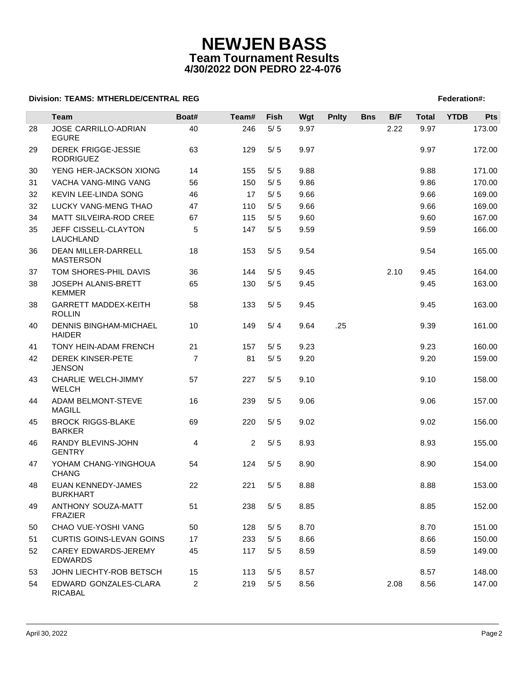# **NEWJEN BASS Team Tournament Results 4/30/2022 DON PEDRO 22-4-076**

### **Division: TEAMS: MTHERLDE/CENTRAL REG** Federation **Federation #:**  $\blacksquare$  Federation #:

|    | <b>Team</b>                                    | Boat#          | Team#          | Fish  | Wgt  | <b>Pnlty</b> | <b>Bns</b> | B/F  | <b>Total</b> | <b>YTDB</b> | <b>Pts</b> |
|----|------------------------------------------------|----------------|----------------|-------|------|--------------|------------|------|--------------|-------------|------------|
| 28 | <b>JOSE CARRILLO-ADRIAN</b><br><b>EGURE</b>    | 40             | 246            | $5/5$ | 9.97 |              |            | 2.22 | 9.97         |             | 173.00     |
| 29 | <b>DEREK FRIGGE-JESSIE</b><br><b>RODRIGUEZ</b> | 63             | 129            | 5/5   | 9.97 |              |            |      | 9.97         |             | 172.00     |
| 30 | YENG HER-JACKSON XIONG                         | 14             | 155            | 5/5   | 9.88 |              |            |      | 9.88         |             | 171.00     |
| 31 | VACHA VANG-MING VANG                           | 56             | 150            | 5/5   | 9.86 |              |            |      | 9.86         |             | 170.00     |
| 32 | KEVIN LEE-LINDA SONG                           | 46             | 17             | 5/5   | 9.66 |              |            |      | 9.66         |             | 169.00     |
| 32 | LUCKY VANG-MENG THAO                           | 47             | 110            | $5/5$ | 9.66 |              |            |      | 9.66         |             | 169.00     |
| 34 | MATT SILVEIRA-ROD CREE                         | 67             | 115            | 5/5   | 9.60 |              |            |      | 9.60         |             | 167.00     |
| 35 | JEFF CISSELL-CLAYTON<br>LAUCHLAND              | 5              | 147            | 5/5   | 9.59 |              |            |      | 9.59         |             | 166.00     |
| 36 | DEAN MILLER-DARRELL<br><b>MASTERSON</b>        | 18             | 153            | 5/5   | 9.54 |              |            |      | 9.54         |             | 165.00     |
| 37 | TOM SHORES-PHIL DAVIS                          | 36             | 144            | 5/5   | 9.45 |              |            | 2.10 | 9.45         |             | 164.00     |
| 38 | JOSEPH ALANIS-BRETT<br><b>KEMMER</b>           | 65             | 130            | $5/5$ | 9.45 |              |            |      | 9.45         |             | 163.00     |
| 38 | GARRETT MADDEX-KEITH<br><b>ROLLIN</b>          | 58             | 133            | 5/5   | 9.45 |              |            |      | 9.45         |             | 163.00     |
| 40 | <b>DENNIS BINGHAM-MICHAEL</b><br><b>HAIDER</b> | 10             | 149            | 5/4   | 9.64 | .25          |            |      | 9.39         |             | 161.00     |
| 41 | TONY HEIN-ADAM FRENCH                          | 21             | 157            | 5/5   | 9.23 |              |            |      | 9.23         |             | 160.00     |
| 42 | <b>DEREK KINSER-PETE</b><br><b>JENSON</b>      | $\overline{7}$ | 81             | 5/5   | 9.20 |              |            |      | 9.20         |             | 159.00     |
| 43 | CHARLIE WELCH-JIMMY<br><b>WELCH</b>            | 57             | 227            | 5/5   | 9.10 |              |            |      | 9.10         |             | 158.00     |
| 44 | ADAM BELMONT-STEVE<br><b>MAGILL</b>            | 16             | 239            | 5/5   | 9.06 |              |            |      | 9.06         |             | 157.00     |
| 45 | <b>BROCK RIGGS-BLAKE</b><br><b>BARKER</b>      | 69             | 220            | 5/5   | 9.02 |              |            |      | 9.02         |             | 156.00     |
| 46 | RANDY BLEVINS-JOHN<br><b>GENTRY</b>            | 4              | $\overline{2}$ | 5/5   | 8.93 |              |            |      | 8.93         |             | 155.00     |
| 47 | YOHAM CHANG-YINGHOUA<br><b>CHANG</b>           | 54             | 124            | 5/5   | 8.90 |              |            |      | 8.90         |             | 154.00     |
| 48 | EUAN KENNEDY-JAMES<br><b>BURKHART</b>          | 22             | 221            | 5/5   | 8.88 |              |            |      | 8.88         |             | 153.00     |
| 49 | ANTHONY SOUZA-MATT<br><b>FRAZIER</b>           | 51             | 238            | 5/5   | 8.85 |              |            |      | 8.85         |             | 152.00     |
| 50 | CHAO VUE-YOSHI VANG                            | 50             | 128            | 5/5   | 8.70 |              |            |      | 8.70         |             | 151.00     |
| 51 | <b>CURTIS GOINS-LEVAN GOINS</b>                | 17             | 233            | 5/5   | 8.66 |              |            |      | 8.66         |             | 150.00     |
| 52 | CAREY EDWARDS-JEREMY<br><b>EDWARDS</b>         | 45             | 117            | 5/5   | 8.59 |              |            |      | 8.59         |             | 149.00     |
| 53 | JOHN LIECHTY-ROB BETSCH                        | 15             | 113            | $5/5$ | 8.57 |              |            |      | 8.57         |             | 148.00     |
| 54 | EDWARD GONZALES-CLARA<br>RICABAL               | $\overline{2}$ | 219            | $5/5$ | 8.56 |              |            | 2.08 | 8.56         |             | 147.00     |